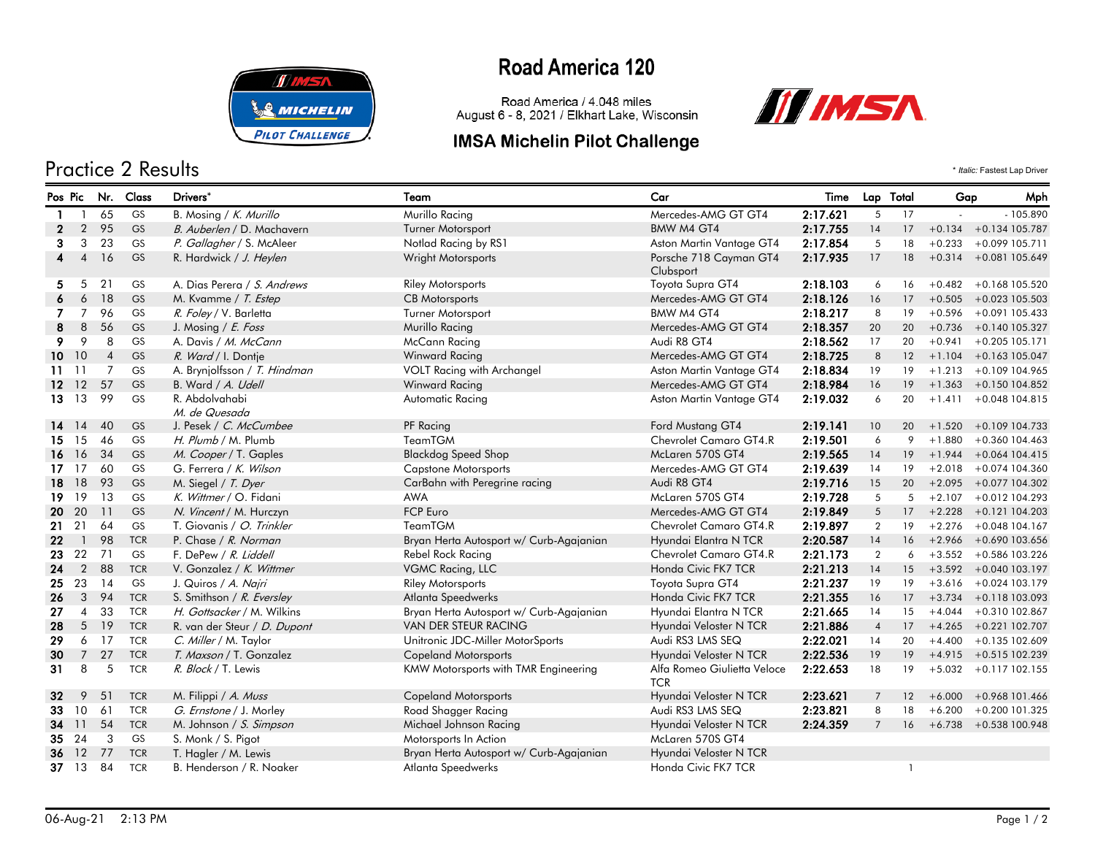

### Practice 2 Results \* *Italic:* Fastest Lap Driver

## **Road America 120**

Road America / 4.048 miles August 6 - 8, 2021 / Elkhart Lake, Wisconsin

#### **IMSA Michelin Pilot Challenge**



| Pos Pic      |                |                | Nr. Class  | Drivers*                        | Team                                    | Car                                       | Time     | Lap Total      |              | Gap      | Mph                       |
|--------------|----------------|----------------|------------|---------------------------------|-----------------------------------------|-------------------------------------------|----------|----------------|--------------|----------|---------------------------|
|              | -1             | 65             | <b>GS</b>  | B. Mosing / K. Murillo          | Murillo Racing                          | Mercedes-AMG GT GT4                       | 2:17.621 | 5              | 17           | $\sim$   | $-105.890$                |
| $\mathbf{2}$ | $\overline{2}$ | 95             | GS         | B. Auberlen / D. Machavern      | <b>Turner Motorsport</b>                | BMW M4 GT4                                | 2:17.755 | 14             | 17           | $+0.134$ | +0.134 105.787            |
| 3            | 3              | 23             | <b>GS</b>  | P. Gallagher / S. McAleer       | Notlad Racing by RS1                    | Aston Martin Vantage GT4                  | 2:17.854 | 5              | 18           | $+0.233$ | +0.099 105.711            |
| 4            | $\overline{4}$ | 16             | GS         | R. Hardwick / J. Heylen         | Wright Motorsports                      | Porsche 718 Cayman GT4<br>Clubsport       | 2:17.935 | 17             | 18           |          | $+0.314 + 0.081105.649$   |
| 5            | 5              | 21             | GS         | A. Dias Perera / S. Andrews     | <b>Riley Motorsports</b>                | Toyota Supra GT4                          | 2:18.103 | 6              | 16           | $+0.482$ | +0.168 105.520            |
| 6            | 6              | 18             | GS         | M. Kvamme / T. Estep            | <b>CB</b> Motorsports                   | Mercedes-AMG GT GT4                       | 2:18.126 | 16             | 17           |          | $+0.505 + 0.023105.503$   |
| 7            | 7              | 96             | <b>GS</b>  | R. Foley / V. Barletta          | <b>Turner Motorsport</b>                | BMW M4 GT4                                | 2:18.217 | 8              | 19           | $+0.596$ | +0.091 105.433            |
| 8            | 8              | 56             | GS         | J. Mosing / E. Foss             | <b>Murillo Racing</b>                   | Mercedes-AMG GT GT4                       | 2:18.357 | 20             | 20           | $+0.736$ | +0.140 105.327            |
| 9            | 9              | 8              | <b>GS</b>  | A. Davis / M. McCann            | McCann Racing                           | Audi R8 GT4                               | 2:18.562 | 17             | 20           | $+0.941$ | $+0.205$ 105.171          |
| 10           | 10             | $\overline{4}$ | GS         | R. Ward / I. Dontje             | Winward Racing                          | Mercedes-AMG GT GT4                       | 2:18.725 | 8              | 12           | $+1.104$ | $+0.163$ 105.047          |
| 11           | -11            | $\overline{7}$ | GS         | A. Brynjolfsson / T. Hindman    | VOLT Racing with Archangel              | Aston Martin Vantage GT4                  | 2:18.834 | 19             | 19           | $+1.213$ | +0.109 104.965            |
| 12.          | 12             | 57             | GS         | B. Ward / A. Udell              | Winward Racing                          | Mercedes-AMG GT GT4                       | 2:18.984 | 16             | 19           |          | $+1.363 + 0.150104.852$   |
|              | 13 13          | 99             | GS         | R. Abdolvahabi<br>M. de Quesada | Automatic Racing                        | Aston Martin Vantage GT4                  | 2:19.032 | 6              | 20           | $+1.411$ | +0.048 104.815            |
|              | 14 14          | 40             | GS         | J. Pesek / C. McCumbee          | PF Racing                               | Ford Mustang GT4                          | 2:19.141 | 10             | 20           | $+1.520$ | +0.109 104.733            |
| 15.          | 15             | 46             | <b>GS</b>  | H. Plumb / M. Plumb             | TeamTGM                                 | Chevrolet Camaro GT4.R                    | 2:19.501 | 6              | 9            | $+1.880$ | +0.360 104.463            |
| 16           | 16             | 34             | GS         | M. Cooper / T. Gaples           | <b>Blackdog Speed Shop</b>              | McLaren 570S GT4                          | 2:19.565 | 14             | 19           | $+1.944$ | +0.064 104.415            |
|              | $17 \quad 17$  | 60             | <b>GS</b>  | G. Ferrera / K. Wilson          | <b>Capstone Motorsports</b>             | Mercedes-AMG GT GT4                       | 2:19.639 | 14             | 19           | $+2.018$ | +0.074 104.360            |
| 18           | 18             | 93             | GS         | M. Siegel / T. Dyer             | CarBahn with Peregrine racing           | Audi R8 GT4                               | 2:19.716 | 15             | 20           | $+2.095$ | +0.077 104.302            |
| 19.          | 19             | 13             | GS         | K. Wittmer / O. Fidani          | <b>AWA</b>                              | McLaren 570S GT4                          | 2:19.728 | 5              | 5            | $+2.107$ | $+0.012$ 104.293          |
| 20           | 20             | 11             | GS         | N. Vincent / M. Hurczyn         | <b>FCP Euro</b>                         | Mercedes-AMG GT GT4                       | 2:19.849 | 5              | 17           |          | $+2.228 +0.121104.203$    |
| 21.          | 21             | 64             | GS         | T. Giovanis / O. Trinkler       | TeamTGM                                 | Chevrolet Camaro GT4.R                    | 2:19.897 | $\overline{2}$ | 19           | $+2.276$ | +0.048 104.167            |
| 22           | $\overline{1}$ | 98             | <b>TCR</b> | P. Chase / R. Norman            | Bryan Herta Autosport w/ Curb-Agajanian | Hyundai Elantra N TCR                     | 2:20.587 | 14             | 16           |          | $+2.966 + 0.690103.656$   |
| 23           | 22             | 71             | GS         | F. DePew / R. Liddell           | Rebel Rock Racing                       | Chevrolet Camaro GT4.R                    | 2:21.173 | $\overline{2}$ | 6            | $+3.552$ | +0.586 103.226            |
| 24           | $\overline{2}$ | 88             | <b>TCR</b> | V. Gonzalez / K. Wittmer        | VGMC Racing, LLC                        | Honda Civic FK7 TCR                       | 2:21.213 | 14             | 15           | $+3.592$ | +0.040 103.197            |
| 25           | 23             | 14             | <b>GS</b>  | J. Quiros / A. Najri            | <b>Riley Motorsports</b>                | Toyota Supra GT4                          | 2:21.237 | 19             | 19           | $+3.616$ | +0.024 103.179            |
| 26           | 3              | 94             | <b>TCR</b> | S. Smithson / R. Eversley       | <b>Atlanta Speedwerks</b>               | Honda Civic FK7 TCR                       | 2:21.355 | 16             | 17           | $+3.734$ | +0.118 103.093            |
| 27           | $\overline{4}$ | 33             | <b>TCR</b> | H. Gottsacker / M. Wilkins      | Bryan Herta Autosport w/ Curb-Agajanian | Hyundai Elantra N TCR                     | 2:21.665 | 14             | 15           | $+4.044$ | +0.310 102.867            |
| 28           | $5^{\circ}$    | 19             | <b>TCR</b> | R. van der Steur / D. Dupont    | <b>VAN DER STEUR RACING</b>             | Hyundai Veloster N TCR                    | 2:21.886 | $\overline{4}$ | 17           | $+4.265$ | $+0.221$ 102.707          |
| 29           | 6              | 17             | <b>TCR</b> | C. Miller / M. Taylor           | Unitronic JDC-Miller MotorSports        | Audi RS3 LMS SEQ                          | 2:22.021 | 14             | 20           | $+4.400$ | +0.135 102.609            |
| 30           | $7^{\circ}$    | 27             | <b>TCR</b> | T. Maxson / T. Gonzalez         | <b>Copeland Motorsports</b>             | Hyundai Veloster N TCR                    | 2:22.536 | 19             | 19           |          | $+4.915$ $+0.515$ 102.239 |
| 31           | 8              | 5              | <b>TCR</b> | R. Block / T. Lewis             | KMW Motorsports with TMR Engineering    | Alfa Romeo Giulietta Veloce<br><b>TCR</b> | 2:22.653 | 18             | 19           |          | $+5.032 + 0.117102.155$   |
| 32           | 9              | 51             | <b>TCR</b> | M. Filippi / A. Muss            | <b>Copeland Motorsports</b>             | Hyundai Veloster N TCR                    | 2:23.621 | $\overline{7}$ | 12           | $+6.000$ | +0.968 101.466            |
| 33           | 10             | 61             | <b>TCR</b> | G. Ernstone / J. Morley         | Road Shagger Racing                     | Audi RS3 LMS SEQ                          | 2:23.821 | 8              | 18           | $+6.200$ | +0.200 101.325            |
| 34           | -11            | 54             | <b>TCR</b> | M. Johnson / S. Simpson         | Michael Johnson Racing                  | Hyundai Veloster N TCR                    | 2:24.359 | $\overline{7}$ | 16           |          | $+6.738 + 0.538100.948$   |
| 35           | 24             | 3              | GS         | S. Monk / S. Pigot              | Motorsports In Action                   | McLaren 570S GT4                          |          |                |              |          |                           |
| 36           | <sup>12</sup>  | 77             | <b>TCR</b> | T. Hagler / M. Lewis            | Bryan Herta Autosport w/ Curb-Agajanian | Hyundai Veloster N TCR                    |          |                |              |          |                           |
| $37 \t13$    |                | 84             | <b>TCR</b> | B. Henderson / R. Noaker        | Atlanta Speedwerks                      | Honda Civic FK7 TCR                       |          |                | $\mathbf{1}$ |          |                           |